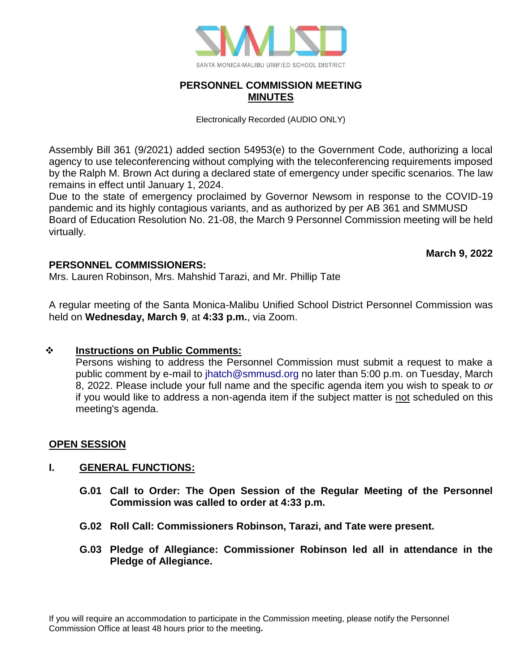

# **PERSONNEL COMMISSION MEETING MINUTES**

Electronically Recorded (AUDIO ONLY)

Assembly Bill 361 (9/2021) added section 54953(e) to the Government Code, authorizing a local agency to use teleconferencing without complying with the teleconferencing requirements imposed by the Ralph M. Brown Act during a declared state of emergency under specific scenarios. The law remains in effect until January 1, 2024.

Due to the state of emergency proclaimed by Governor Newsom in response to the COVID-19 pandemic and its highly contagious variants, and as authorized by per AB 361 and SMMUSD Board of Education Resolution No. 21-08, the March 9 Personnel Commission meeting will be held virtually.

**March 9, 2022**

# **PERSONNEL COMMISSIONERS:**

Mrs. Lauren Robinson, Mrs. Mahshid Tarazi, and Mr. Phillip Tate

A regular meeting of the Santa Monica-Malibu Unified School District Personnel Commission was held on **Wednesday, March 9**, at **4:33 p.m.**, via Zoom.

# ❖ **Instructions on Public Comments:**

Persons wishing to address the Personnel Commission must submit a request to make a public comment by e-mail to [jhatch@smmusd.org](mailto:jhatch@smmusd.org) no later than 5:00 p.m. on Tuesday, March 8, 2022. Please include your full name and the specific agenda item you wish to speak to *or* if you would like to address a non-agenda item if the subject matter is not scheduled on this meeting's agenda.

# **OPEN SESSION**

# **I. GENERAL FUNCTIONS:**

- **G.01 Call to Order: The Open Session of the Regular Meeting of the Personnel Commission was called to order at 4:33 p.m.**
- **G.02 Roll Call: Commissioners Robinson, Tarazi, and Tate were present.**
- **G.03 Pledge of Allegiance: Commissioner Robinson led all in attendance in the Pledge of Allegiance.**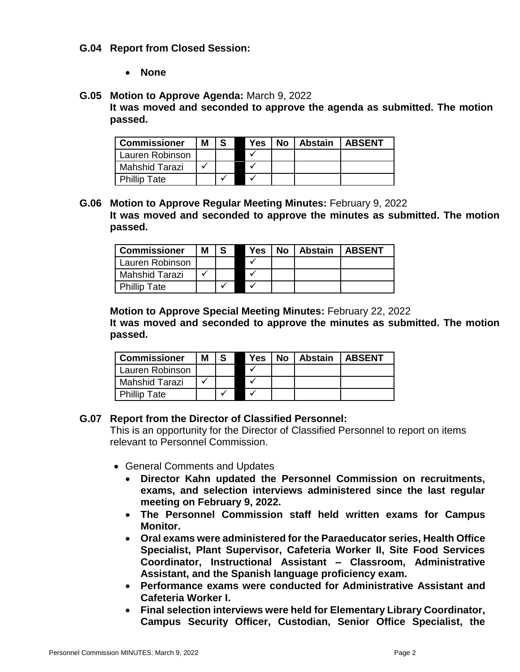#### **G.04 Report from Closed Session:**

• **None**

#### **G.05 Motion to Approve Agenda:** March 9, 2022

**It was moved and seconded to approve the agenda as submitted. The motion passed.**

| <b>Commissioner</b>   | Μ |  | Yes | No. | Abstain | <b>LABSENT</b> |
|-----------------------|---|--|-----|-----|---------|----------------|
| Lauren Robinson       |   |  |     |     |         |                |
| <b>Mahshid Tarazi</b> |   |  |     |     |         |                |
| <b>Phillip Tate</b>   |   |  |     |     |         |                |

**G.06 Motion to Approve Regular Meeting Minutes:** February 9, 2022 **It was moved and seconded to approve the minutes as submitted. The motion passed.**

| <b>Commissioner</b>   | Μ |  | <b>Yes</b> | <b>No</b> | Abstain | <b>LABSENT</b> |
|-----------------------|---|--|------------|-----------|---------|----------------|
| Lauren Robinson       |   |  |            |           |         |                |
| <b>Mahshid Tarazi</b> |   |  |            |           |         |                |
| <b>Phillip Tate</b>   |   |  |            |           |         |                |

**Motion to Approve Special Meeting Minutes:** February 22, 2022 **It was moved and seconded to approve the minutes as submitted. The motion passed.**

| <b>Commissioner</b>   | Μ |  | Yes | No. | <b>Abstain</b> | <b>ABSENT</b> |
|-----------------------|---|--|-----|-----|----------------|---------------|
| Lauren Robinson       |   |  |     |     |                |               |
| <b>Mahshid Tarazi</b> |   |  |     |     |                |               |
| <b>Phillip Tate</b>   |   |  |     |     |                |               |

# **G.07 Report from the Director of Classified Personnel:**

This is an opportunity for the Director of Classified Personnel to report on items relevant to Personnel Commission.

- General Comments and Updates
	- **Director Kahn updated the Personnel Commission on recruitments, exams, and selection interviews administered since the last regular meeting on February 9, 2022.**
	- **The Personnel Commission staff held written exams for Campus Monitor.**
	- **Oral exams were administered for the Paraeducator series, Health Office Specialist, Plant Supervisor, Cafeteria Worker II, Site Food Services Coordinator, Instructional Assistant – Classroom, Administrative Assistant, and the Spanish language proficiency exam.**
	- **Performance exams were conducted for Administrative Assistant and Cafeteria Worker I.**
	- **Final selection interviews were held for Elementary Library Coordinator, Campus Security Officer, Custodian, Senior Office Specialist, the**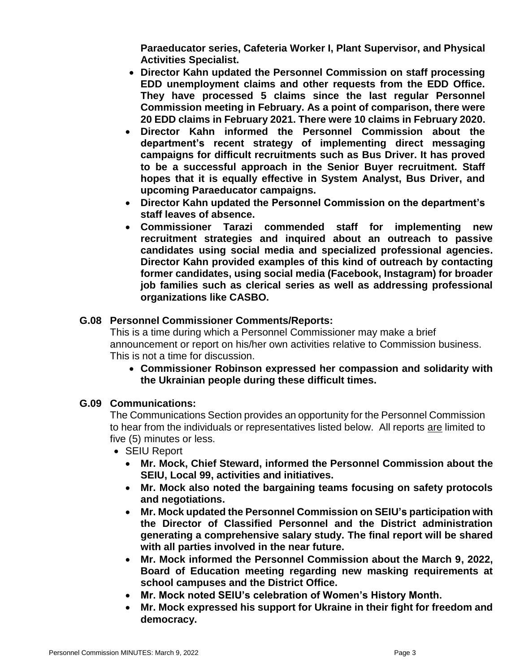**Paraeducator series, Cafeteria Worker I, Plant Supervisor, and Physical Activities Specialist.**

- **Director Kahn updated the Personnel Commission on staff processing EDD unemployment claims and other requests from the EDD Office. They have processed 5 claims since the last regular Personnel Commission meeting in February. As a point of comparison, there were 20 EDD claims in February 2021. There were 10 claims in February 2020.**
- **Director Kahn informed the Personnel Commission about the department's recent strategy of implementing direct messaging campaigns for difficult recruitments such as Bus Driver. It has proved to be a successful approach in the Senior Buyer recruitment. Staff hopes that it is equally effective in System Analyst, Bus Driver, and upcoming Paraeducator campaigns.**
- **Director Kahn updated the Personnel Commission on the department's staff leaves of absence.**
- **Commissioner Tarazi commended staff for implementing new recruitment strategies and inquired about an outreach to passive candidates using social media and specialized professional agencies. Director Kahn provided examples of this kind of outreach by contacting former candidates, using social media (Facebook, Instagram) for broader job families such as clerical series as well as addressing professional organizations like CASBO.**

# **G.08 Personnel Commissioner Comments/Reports:**

This is a time during which a Personnel Commissioner may make a brief announcement or report on his/her own activities relative to Commission business. This is not a time for discussion.

• **Commissioner Robinson expressed her compassion and solidarity with the Ukrainian people during these difficult times.** 

# **G.09 Communications:**

The Communications Section provides an opportunity for the Personnel Commission to hear from the individuals or representatives listed below. All reports are limited to five (5) minutes or less.

- SEIU Report
	- **Mr. Mock, Chief Steward, informed the Personnel Commission about the SEIU, Local 99, activities and initiatives.**
	- **Mr. Mock also noted the bargaining teams focusing on safety protocols and negotiations.**
	- **Mr. Mock updated the Personnel Commission on SEIU's participation with the Director of Classified Personnel and the District administration generating a comprehensive salary study. The final report will be shared with all parties involved in the near future.**
	- **Mr. Mock informed the Personnel Commission about the March 9, 2022, Board of Education meeting regarding new masking requirements at school campuses and the District Office.**
	- **Mr. Mock noted SEIU's celebration of Women's History Month.**
	- **Mr. Mock expressed his support for Ukraine in their fight for freedom and democracy.**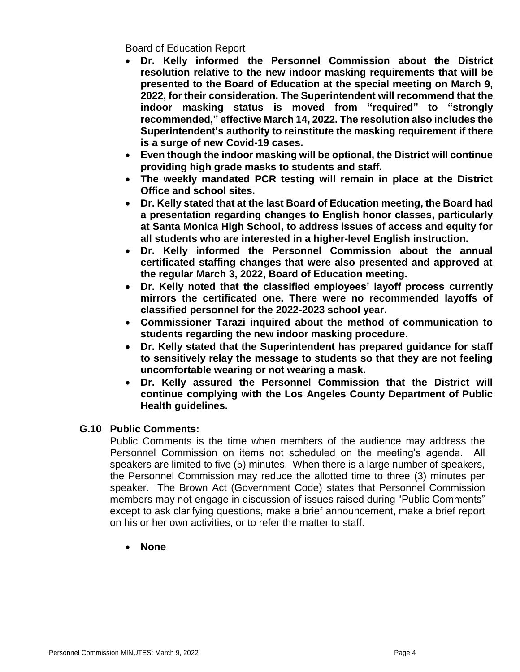Board of Education Report

- **Dr. Kelly informed the Personnel Commission about the District resolution relative to the new indoor masking requirements that will be presented to the Board of Education at the special meeting on March 9, 2022, for their consideration. The Superintendent will recommend that the indoor masking status is moved from "required" to "strongly recommended," effective March 14, 2022. The resolution also includes the Superintendent's authority to reinstitute the masking requirement if there is a surge of new Covid-19 cases.**
- **Even though the indoor masking will be optional, the District will continue providing high grade masks to students and staff.**
- **The weekly mandated PCR testing will remain in place at the District Office and school sites.**
- **Dr. Kelly stated that at the last Board of Education meeting, the Board had a presentation regarding changes to English honor classes, particularly at Santa Monica High School, to address issues of access and equity for all students who are interested in a higher-level English instruction.**
- **Dr. Kelly informed the Personnel Commission about the annual certificated staffing changes that were also presented and approved at the regular March 3, 2022, Board of Education meeting.**
- **Dr. Kelly noted that the classified employees' layoff process currently mirrors the certificated one. There were no recommended layoffs of classified personnel for the 2022-2023 school year.**
- **Commissioner Tarazi inquired about the method of communication to students regarding the new indoor masking procedure.**
- **Dr. Kelly stated that the Superintendent has prepared guidance for staff to sensitively relay the message to students so that they are not feeling uncomfortable wearing or not wearing a mask.**
- **Dr. Kelly assured the Personnel Commission that the District will continue complying with the Los Angeles County Department of Public Health guidelines.**

# **G.10 Public Comments:**

Public Comments is the time when members of the audience may address the Personnel Commission on items not scheduled on the meeting's agenda. All speakers are limited to five (5) minutes. When there is a large number of speakers, the Personnel Commission may reduce the allotted time to three (3) minutes per speaker. The Brown Act (Government Code) states that Personnel Commission members may not engage in discussion of issues raised during "Public Comments" except to ask clarifying questions, make a brief announcement, make a brief report on his or her own activities, or to refer the matter to staff.

• **None**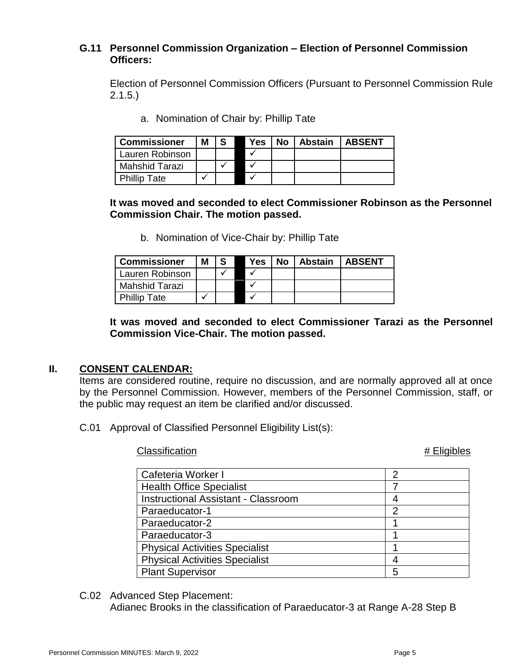# **G.11 Personnel Commission Organization – Election of Personnel Commission Officers:**

Election of Personnel Commission Officers (Pursuant to Personnel Commission Rule 2.1.5.)

a. Nomination of Chair by: Phillip Tate

| <b>Commissioner</b>   | Μ | -S | Yes | No l | Abstain | <b>LABSENT</b> |
|-----------------------|---|----|-----|------|---------|----------------|
| Lauren Robinson       |   |    |     |      |         |                |
| <b>Mahshid Tarazi</b> |   |    |     |      |         |                |
| <b>Phillip Tate</b>   |   |    |     |      |         |                |

**It was moved and seconded to elect Commissioner Robinson as the Personnel Commission Chair. The motion passed.**

b. Nomination of Vice-Chair by: Phillip Tate

| <b>Commissioner</b> | Μ | -S | Yes | No l | Abstain | <b>LABSENT</b> |
|---------------------|---|----|-----|------|---------|----------------|
| Lauren Robinson     |   |    |     |      |         |                |
| Mahshid Tarazi      |   |    |     |      |         |                |
| <b>Phillip Tate</b> |   |    |     |      |         |                |

**It was moved and seconded to elect Commissioner Tarazi as the Personnel Commission Vice-Chair. The motion passed.**

# **II. CONSENT CALENDAR:**

Items are considered routine, require no discussion, and are normally approved all at once by the Personnel Commission. However, members of the Personnel Commission, staff, or the public may request an item be clarified and/or discussed.

C.01 Approval of Classified Personnel Eligibility List(s):

Classification **ACCLA Eligibles** *ACCLA Eligibles ACCLA ACCLA <i>Eligibles* 

| Cafeteria Worker I                         | 2 |
|--------------------------------------------|---|
| <b>Health Office Specialist</b>            |   |
| <b>Instructional Assistant - Classroom</b> |   |
| Paraeducator-1                             | 2 |
| Paraeducator-2                             |   |
| Paraeducator-3                             |   |
| <b>Physical Activities Specialist</b>      |   |
| <b>Physical Activities Specialist</b>      |   |
| <b>Plant Supervisor</b>                    | 5 |

C.02 Advanced Step Placement:

Adianec Brooks in the classification of Paraeducator-3 at Range A-28 Step B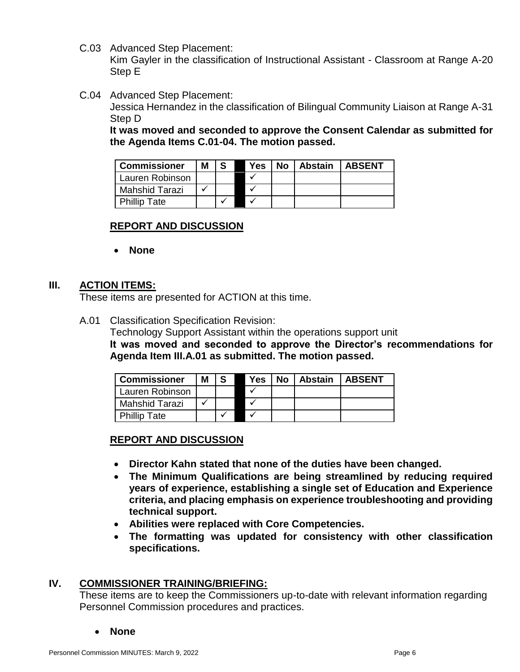C.03 Advanced Step Placement:

Kim Gayler in the classification of Instructional Assistant - Classroom at Range A-20 Step E

C.04 Advanced Step Placement:

Jessica Hernandez in the classification of Bilingual Community Liaison at Range A-31 Step D

**It was moved and seconded to approve the Consent Calendar as submitted for the Agenda Items C.01-04. The motion passed.**

| <b>Commissioner</b>   | Μ |  | Yes | <b>No</b> | <b>Abstain   ABSENT</b> |  |
|-----------------------|---|--|-----|-----------|-------------------------|--|
| Lauren Robinson       |   |  |     |           |                         |  |
| <b>Mahshid Tarazi</b> |   |  |     |           |                         |  |
| <b>Phillip Tate</b>   |   |  |     |           |                         |  |

# **REPORT AND DISCUSSION**

• **None**

#### **III. ACTION ITEMS:**

These items are presented for ACTION at this time.

A.01 Classification Specification Revision:

Technology Support Assistant within the operations support unit **It was moved and seconded to approve the Director's recommendations for Agenda Item III.A.01 as submitted. The motion passed.**

| <b>Commissioner</b>   | Μ |  | Yes | <b>No</b> | <b>Abstain</b> | <b>ABSENT</b> |
|-----------------------|---|--|-----|-----------|----------------|---------------|
| Lauren Robinson       |   |  |     |           |                |               |
| <b>Mahshid Tarazi</b> |   |  |     |           |                |               |
| <b>Phillip Tate</b>   |   |  |     |           |                |               |

# **REPORT AND DISCUSSION**

- **Director Kahn stated that none of the duties have been changed.**
- **The Minimum Qualifications are being streamlined by reducing required years of experience, establishing a single set of Education and Experience criteria, and placing emphasis on experience troubleshooting and providing technical support.**
- **Abilities were replaced with Core Competencies.**
- **The formatting was updated for consistency with other classification specifications.**

# **IV. COMMISSIONER TRAINING/BRIEFING:**

These items are to keep the Commissioners up-to-date with relevant information regarding Personnel Commission procedures and practices.

• **None**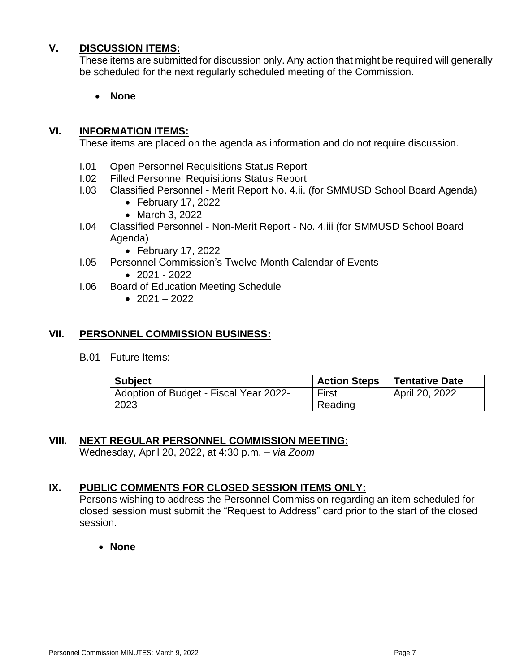# **V. DISCUSSION ITEMS:**

These items are submitted for discussion only. Any action that might be required will generally be scheduled for the next regularly scheduled meeting of the Commission.

• **None**

#### **VI. INFORMATION ITEMS:**

These items are placed on the agenda as information and do not require discussion.

- I.01 Open Personnel Requisitions Status Report
- I.02 Filled Personnel Requisitions Status Report
- I.03 Classified Personnel Merit Report No. 4.ii. (for SMMUSD School Board Agenda)
	- February 17, 2022
	- March 3, 2022
- I.04 Classified Personnel Non-Merit Report No. 4.iii (for SMMUSD School Board Agenda)
	- February 17, 2022
- I.05 Personnel Commission's Twelve-Month Calendar of Events
	- $\bullet$  2021 2022
- I.06 Board of Education Meeting Schedule
	- $2021 2022$

#### **VII. PERSONNEL COMMISSION BUSINESS:**

B.01 Future Items:

| <b>Subject</b>                         | <b>Action Steps</b> | <b>Tentative Date</b> |
|----------------------------------------|---------------------|-----------------------|
| Adoption of Budget - Fiscal Year 2022- | First               | April 20, 2022        |
| 2023                                   | Reading             |                       |

# **VIII. NEXT REGULAR PERSONNEL COMMISSION MEETING:**

Wednesday, April 20, 2022, at 4:30 p.m. – *via Zoom*

# **IX. PUBLIC COMMENTS FOR CLOSED SESSION ITEMS ONLY:**

Persons wishing to address the Personnel Commission regarding an item scheduled for closed session must submit the "Request to Address" card prior to the start of the closed session.

• **None**